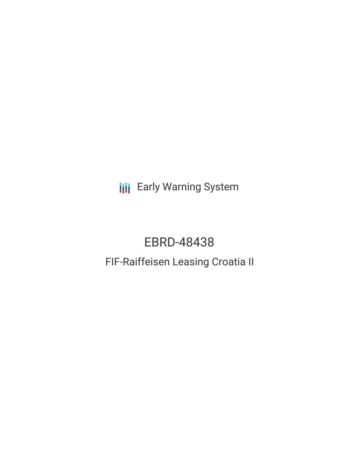**III** Early Warning System

# EBRD-48438

## FIF-Raiffeisen Leasing Croatia II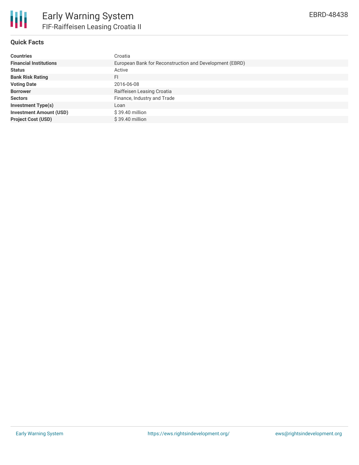

## **Quick Facts**

| <b>Countries</b>               | Croatia                                                 |
|--------------------------------|---------------------------------------------------------|
| <b>Financial Institutions</b>  | European Bank for Reconstruction and Development (EBRD) |
| <b>Status</b>                  | Active                                                  |
| <b>Bank Risk Rating</b>        | FI                                                      |
| <b>Voting Date</b>             | 2016-06-08                                              |
| <b>Borrower</b>                | Raiffeisen Leasing Croatia                              |
| <b>Sectors</b>                 | Finance, Industry and Trade                             |
| <b>Investment Type(s)</b>      | Loan                                                    |
| <b>Investment Amount (USD)</b> | $$39.40$ million                                        |
| <b>Project Cost (USD)</b>      | $$39.40$ million                                        |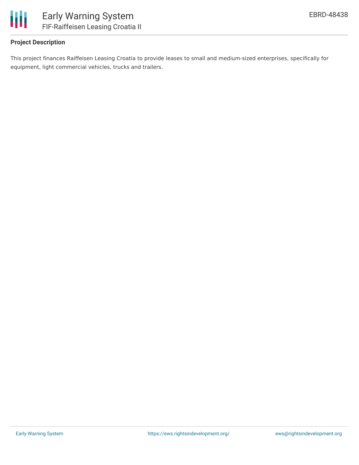

## **Project Description**

This project finances Raiffeisen Leasing Croatia to provide leases to small and medium-sized enterprises, specifically for equipment, light commercial vehicles, trucks and trailers.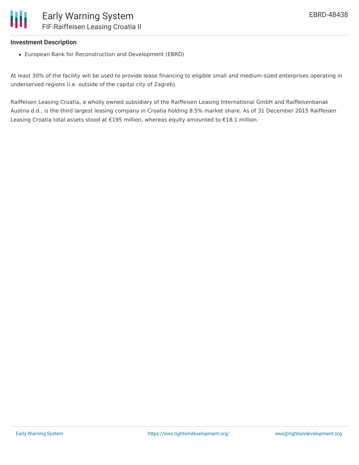

#### **Investment Description**

European Bank for Reconstruction and Development (EBRD)

At least 30% of the facility will be used to provide lease financing to eligible small and medium-sized enterprises operating in underserved regions (i.e. outside of the capital city of Zagreb).

Raiffeisen Leasing Croatia, a wholly owned subsidiary of the Raiffeisen Leasing International GmbH and Raiffeisenbanak Austria d.d., is the third largest leasing company in Croatia holding 8.5% market share. As of 31 December 2015 Raiffeisen Leasing Croatia total assets stood at €195 million, whereas equity amounted to €18.1 million.